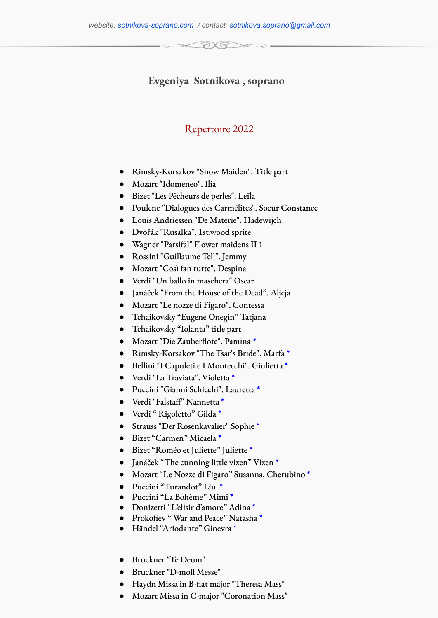## **Evgeniya Sotnikova , soprano**

DV G

## Repertoire 2022

- Rimsky-Korsakov "Snow Maiden". Title part
- Mozart "Idomeneo". Ilia
- Bizet "Les Pêcheurs de perles". Leïla
- Poulenc "Dialogues des Carmélites". Soeur Constance
- Louis Andriessen "De Materie". Hadewijch
- Dvořák "Rusalka". 1st.wood sprite
- Wagner "Parsifal" Flower maidens II 1
- Rossini "Guillaume Tell". Jemmy
- Mozart "Così fan tutte". Despina
- Verdi "Un ballo in maschera" Oscar
- Janáček "From the House of the Dead". Aljeja
- Mozart "Le nozze di Figaro". Contessa
- Tchaikovsky "Eugene Onegin" Tatjana
- Tchaikovsky "Iolanta" title part
- Mozart "Die Zauberflöte". Pamina **\***
- Rimsky-Korsakov "The Tsar's Bride". Marfa **\***
- Bellini "I Capuleti e I Montecchi". Giulietta **\***
- Verdi "La Traviata". Violetta **\***
- Puccini "Gianni Schicchi". Lauretta **\***
- Verdi "Falstaff" Nannetta **\***
- Verdi " Rigoletto" Gilda **\***
- Strauss "Der Rosenkavalier" Sophie \*
- Bizet "Сarmen" Micaela **\***
- Bizet "Roméo et Juliette" Juliette **\***
- Janáček "The cunning little vixen" Vixen **\***
- Mozart "Le Nozze di Figaro" Susanna, Cherubino **\***
- Puccini "Turandot" Liu **\***
- Puccini "La Bohème" Mimi **\***
- Donizetti "L'elisir d'amore" Adina **\***
- Prokofiev " War and Peace" Natasha **\***
- Händel "Ariodante" Ginevra \*
- Bruckner "Te Deum"
- Bruckner "D-moll Messe"
- Haydn Missa in B-flat major "Theresa Mass"
- Mozart Missa in C-major "Coronation Mass"